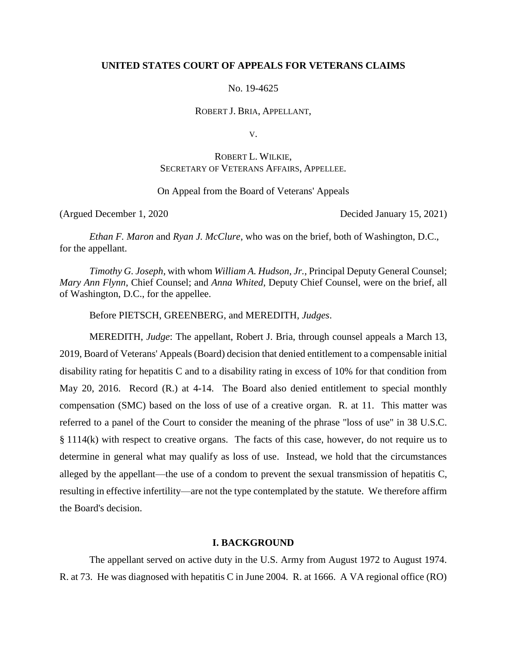## **UNITED STATES COURT OF APPEALS FOR VETERANS CLAIMS**

No. 19-4625

ROBERT J. BRIA, APPELLANT,

V.

# ROBERT L. WILKIE, SECRETARY OF VETERANS AFFAIRS, APPELLEE.

On Appeal from the Board of Veterans' Appeals

(Argued December 1, 2020 Decided January 15, 2021)

*Ethan F. Maron* and *Ryan J. McClure*, who was on the brief, both of Washington, D.C., for the appellant.

*Timothy G. Joseph*, with whom *William A. Hudson, Jr.*, Principal Deputy General Counsel; *Mary Ann Flynn*, Chief Counsel; and *Anna Whited*, Deputy Chief Counsel, were on the brief, all of Washington, D.C., for the appellee.

Before PIETSCH, GREENBERG, and MEREDITH, *Judges*.

MEREDITH, *Judge*: The appellant, Robert J. Bria, through counsel appeals a March 13, 2019, Board of Veterans' Appeals (Board) decision that denied entitlement to a compensable initial disability rating for hepatitis C and to a disability rating in excess of 10% for that condition from May 20, 2016. Record (R.) at 4-14. The Board also denied entitlement to special monthly compensation (SMC) based on the loss of use of a creative organ. R. at 11. This matter was referred to a panel of the Court to consider the meaning of the phrase "loss of use" in 38 U.S.C. § 1114(k) with respect to creative organs. The facts of this case, however, do not require us to determine in general what may qualify as loss of use. Instead, we hold that the circumstances alleged by the appellant—the use of a condom to prevent the sexual transmission of hepatitis C, resulting in effective infertility—are not the type contemplated by the statute. We therefore affirm the Board's decision.

#### **I. BACKGROUND**

The appellant served on active duty in the U.S. Army from August 1972 to August 1974. R. at 73. He was diagnosed with hepatitis C in June 2004. R. at 1666. A VA regional office (RO)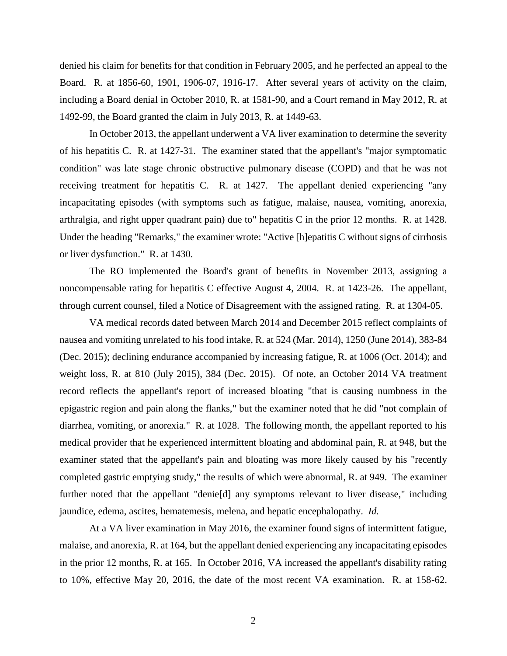denied his claim for benefits for that condition in February 2005, and he perfected an appeal to the Board. R. at 1856-60, 1901, 1906-07, 1916-17. After several years of activity on the claim, including a Board denial in October 2010, R. at 1581-90, and a Court remand in May 2012, R. at 1492-99, the Board granted the claim in July 2013, R. at 1449-63.

In October 2013, the appellant underwent a VA liver examination to determine the severity of his hepatitis C. R. at 1427-31. The examiner stated that the appellant's "major symptomatic condition" was late stage chronic obstructive pulmonary disease (COPD) and that he was not receiving treatment for hepatitis C. R. at 1427. The appellant denied experiencing "any incapacitating episodes (with symptoms such as fatigue, malaise, nausea, vomiting, anorexia, arthralgia, and right upper quadrant pain) due to" hepatitis C in the prior 12 months. R. at 1428. Under the heading "Remarks," the examiner wrote: "Active [h]epatitis C without signs of cirrhosis or liver dysfunction." R. at 1430.

The RO implemented the Board's grant of benefits in November 2013, assigning a noncompensable rating for hepatitis C effective August 4, 2004. R. at 1423-26. The appellant, through current counsel, filed a Notice of Disagreement with the assigned rating. R. at 1304-05.

VA medical records dated between March 2014 and December 2015 reflect complaints of nausea and vomiting unrelated to his food intake, R. at 524 (Mar. 2014), 1250 (June 2014), 383-84 (Dec. 2015); declining endurance accompanied by increasing fatigue, R. at 1006 (Oct. 2014); and weight loss, R. at 810 (July 2015), 384 (Dec. 2015). Of note, an October 2014 VA treatment record reflects the appellant's report of increased bloating "that is causing numbness in the epigastric region and pain along the flanks," but the examiner noted that he did "not complain of diarrhea, vomiting, or anorexia." R. at 1028. The following month, the appellant reported to his medical provider that he experienced intermittent bloating and abdominal pain, R. at 948, but the examiner stated that the appellant's pain and bloating was more likely caused by his "recently completed gastric emptying study," the results of which were abnormal, R. at 949. The examiner further noted that the appellant "denie[d] any symptoms relevant to liver disease," including jaundice, edema, ascites, hematemesis, melena, and hepatic encephalopathy. *Id.* 

At a VA liver examination in May 2016, the examiner found signs of intermittent fatigue, malaise, and anorexia, R. at 164, but the appellant denied experiencing any incapacitating episodes in the prior 12 months, R. at 165. In October 2016, VA increased the appellant's disability rating to 10%, effective May 20, 2016, the date of the most recent VA examination. R. at 158-62.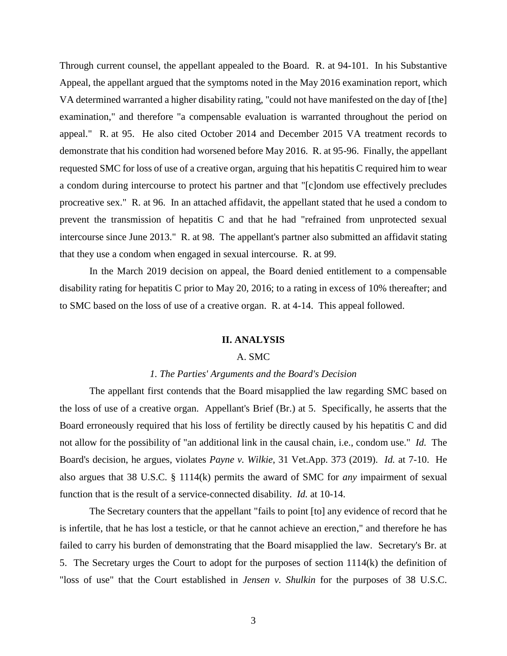Through current counsel, the appellant appealed to the Board. R. at 94-101. In his Substantive Appeal, the appellant argued that the symptoms noted in the May 2016 examination report, which VA determined warranted a higher disability rating, "could not have manifested on the day of [the] examination," and therefore "a compensable evaluation is warranted throughout the period on appeal." R. at 95. He also cited October 2014 and December 2015 VA treatment records to demonstrate that his condition had worsened before May 2016. R. at 95-96. Finally, the appellant requested SMC for loss of use of a creative organ, arguing that his hepatitis C required him to wear a condom during intercourse to protect his partner and that "[c]ondom use effectively precludes procreative sex." R. at 96. In an attached affidavit, the appellant stated that he used a condom to prevent the transmission of hepatitis C and that he had "refrained from unprotected sexual intercourse since June 2013." R. at 98. The appellant's partner also submitted an affidavit stating that they use a condom when engaged in sexual intercourse. R. at 99.

In the March 2019 decision on appeal, the Board denied entitlement to a compensable disability rating for hepatitis C prior to May 20, 2016; to a rating in excess of 10% thereafter; and to SMC based on the loss of use of a creative organ. R. at 4-14. This appeal followed.

#### **II. ANALYSIS**

## A. SMC

#### *1. The Parties' Arguments and the Board's Decision*

The appellant first contends that the Board misapplied the law regarding SMC based on the loss of use of a creative organ. Appellant's Brief (Br.) at 5. Specifically, he asserts that the Board erroneously required that his loss of fertility be directly caused by his hepatitis C and did not allow for the possibility of "an additional link in the causal chain, i.e., condom use." *Id.* The Board's decision, he argues, violates *Payne v. Wilkie*, 31 Vet.App. 373 (2019). *Id.* at 7-10. He also argues that 38 U.S.C. § 1114(k) permits the award of SMC for *any* impairment of sexual function that is the result of a service-connected disability. *Id.* at 10-14.

The Secretary counters that the appellant "fails to point [to] any evidence of record that he is infertile, that he has lost a testicle, or that he cannot achieve an erection," and therefore he has failed to carry his burden of demonstrating that the Board misapplied the law. Secretary's Br. at 5. The Secretary urges the Court to adopt for the purposes of section 1114(k) the definition of "loss of use" that the Court established in *Jensen v. Shulkin* for the purposes of 38 U.S.C.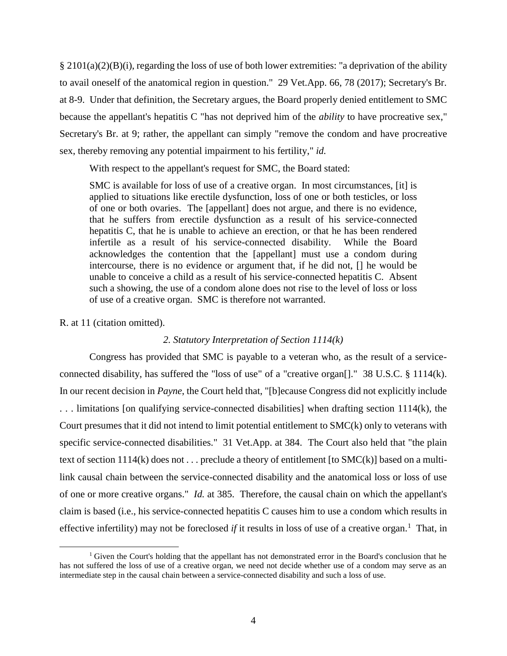$\S 2101(a)(2)(B)(i)$ , regarding the loss of use of both lower extremities: "a deprivation of the ability to avail oneself of the anatomical region in question." 29 Vet.App. 66, 78 (2017); Secretary's Br. at 8-9. Under that definition, the Secretary argues, the Board properly denied entitlement to SMC because the appellant's hepatitis C "has not deprived him of the *ability* to have procreative sex," Secretary's Br. at 9; rather, the appellant can simply "remove the condom and have procreative sex, thereby removing any potential impairment to his fertility," *id.*

With respect to the appellant's request for SMC, the Board stated:

SMC is available for loss of use of a creative organ. In most circumstances, [it] is applied to situations like erectile dysfunction, loss of one or both testicles, or loss of one or both ovaries. The [appellant] does not argue, and there is no evidence, that he suffers from erectile dysfunction as a result of his service-connected hepatitis C, that he is unable to achieve an erection, or that he has been rendered infertile as a result of his service-connected disability. While the Board acknowledges the contention that the [appellant] must use a condom during intercourse, there is no evidence or argument that, if he did not, [] he would be unable to conceive a child as a result of his service-connected hepatitis C. Absent such a showing, the use of a condom alone does not rise to the level of loss or loss of use of a creative organ. SMC is therefore not warranted.

R. at 11 (citation omitted).

 $\overline{a}$ 

# *2. Statutory Interpretation of Section 1114(k)*

Congress has provided that SMC is payable to a veteran who, as the result of a serviceconnected disability, has suffered the "loss of use" of a "creative organ[]." 38 U.S.C. § 1114(k). In our recent decision in *Payne*, the Court held that, "[b]ecause Congress did not explicitly include . . . limitations [on qualifying service-connected disabilities] when drafting section 1114(k), the Court presumes that it did not intend to limit potential entitlement to SMC(k) only to veterans with specific service-connected disabilities." 31 Vet.App. at 384. The Court also held that "the plain text of section 1114(k) does not . . . preclude a theory of entitlement [to SMC(k)] based on a multilink causal chain between the service-connected disability and the anatomical loss or loss of use of one or more creative organs." *Id.* at 385. Therefore, the causal chain on which the appellant's claim is based (i.e., his service-connected hepatitis C causes him to use a condom which results in effective infertility) may not be foreclosed *if* it results in loss of use of a creative organ.<sup>1</sup> That, in

<sup>&</sup>lt;sup>1</sup> Given the Court's holding that the appellant has not demonstrated error in the Board's conclusion that he has not suffered the loss of use of a creative organ, we need not decide whether use of a condom may serve as an intermediate step in the causal chain between a service-connected disability and such a loss of use.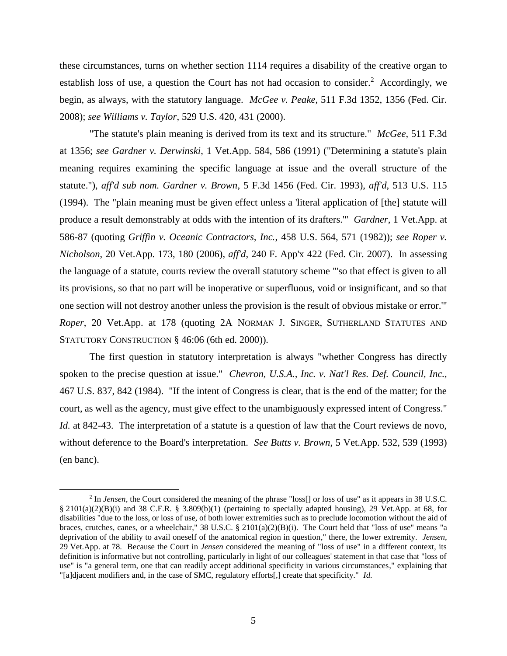these circumstances, turns on whether section 1114 requires a disability of the creative organ to establish loss of use, a question the Court has not had occasion to consider.<sup>2</sup> Accordingly, we begin, as always, with the statutory language. *McGee v. Peake*, 511 F.3d 1352, 1356 (Fed. Cir. 2008); *see Williams v. Taylor*, 529 U.S. 420, 431 (2000).

"The statute's plain meaning is derived from its text and its structure." *McGee*, 511 F.3d at 1356; *see Gardner v. Derwinski*, 1 Vet.App. 584, 586 (1991) ("Determining a statute's plain meaning requires examining the specific language at issue and the overall structure of the statute."), *aff'd sub nom. Gardner v. Brown*, 5 F.3d 1456 (Fed. Cir. 1993), *aff'd*, 513 U.S. 115 (1994). The "plain meaning must be given effect unless a 'literal application of [the] statute will produce a result demonstrably at odds with the intention of its drafters.'" *Gardner*, 1 Vet.App. at 586-87 (quoting *Griffin v. Oceanic Contractors, Inc.*, 458 U.S. 564, 571 (1982)); *see Roper v. Nicholson*, 20 Vet.App. 173, 180 (2006), *aff'd*, 240 F. App'x 422 (Fed. Cir. 2007). In assessing the language of a statute, courts review the overall statutory scheme "'so that effect is given to all its provisions, so that no part will be inoperative or superfluous, void or insignificant, and so that one section will not destroy another unless the provision is the result of obvious mistake or error.'" *Roper*, 20 Vet.App. at 178 (quoting 2A NORMAN J. SINGER, SUTHERLAND STATUTES AND STATUTORY CONSTRUCTION § 46:06 (6th ed. 2000)).

The first question in statutory interpretation is always "whether Congress has directly spoken to the precise question at issue." *Chevron, U.S.A., Inc. v. Nat'l Res. Def. Council, Inc.*, 467 U.S. 837, 842 (1984). "If the intent of Congress is clear, that is the end of the matter; for the court, as well as the agency, must give effect to the unambiguously expressed intent of Congress." *Id.* at 842-43. The interpretation of a statute is a question of law that the Court reviews de novo, without deference to the Board's interpretation. *See Butts v. Brown*, 5 Vet.App. 532, 539 (1993) (en banc).

<sup>&</sup>lt;sup>2</sup> In *Jensen*, the Court considered the meaning of the phrase "loss[] or loss of use" as it appears in 38 U.S.C.  $\S 2101(a)(2)(B)(i)$  and 38 C.F.R. § 3.809(b)(1) (pertaining to specially adapted housing), 29 Vet.App. at 68, for disabilities "due to the loss, or loss of use, of both lower extremities such as to preclude locomotion without the aid of braces, crutches, canes, or a wheelchair,"  $38 \text{ U.S.C.} \$   $2101(a)(2)(B)(i)$ . The Court held that "loss of use" means "a deprivation of the ability to avail oneself of the anatomical region in question," there, the lower extremity. *Jensen*, 29 Vet.App. at 78. Because the Court in *Jensen* considered the meaning of "loss of use" in a different context, its definition is informative but not controlling, particularly in light of our colleagues' statement in that case that "loss of use" is "a general term, one that can readily accept additional specificity in various circumstances," explaining that "[a]djacent modifiers and, in the case of SMC, regulatory efforts[,] create that specificity." *Id.*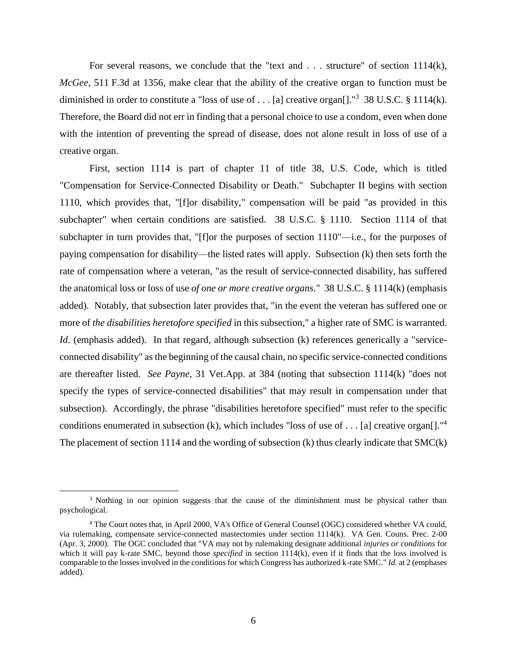For several reasons, we conclude that the "text and . . . structure" of section 1114(k), *McGee*, 511 F.3d at 1356, make clear that the ability of the creative organ to function must be diminished in order to constitute a "loss of use of . . . [a] creative organ[]."<sup>3</sup> 38 U.S.C. § 1114(k). Therefore, the Board did not err in finding that a personal choice to use a condom, even when done with the intention of preventing the spread of disease, does not alone result in loss of use of a creative organ.

First, section 1114 is part of chapter 11 of title 38, U.S. Code, which is titled "Compensation for Service-Connected Disability or Death." Subchapter II begins with section 1110, which provides that, "[f]or disability," compensation will be paid "as provided in this subchapter" when certain conditions are satisfied. 38 U.S.C. § 1110. Section 1114 of that subchapter in turn provides that, "[f]or the purposes of section 1110"—i.e., for the purposes of paying compensation for disability—the listed rates will apply. Subsection (k) then sets forth the rate of compensation where a veteran, "as the result of service-connected disability, has suffered the anatomical loss or loss of use *of one or more creative organs*." 38 U.S.C. § 1114(k) (emphasis added). Notably, that subsection later provides that, "in the event the veteran has suffered one or more of *the disabilities heretofore specified* in this subsection," a higher rate of SMC is warranted. *Id.* (emphasis added). In that regard, although subsection (k) references generically a "serviceconnected disability" as the beginning of the causal chain, no specific service-connected conditions are thereafter listed. *See Payne*, 31 Vet.App. at 384 (noting that subsection 1114(k) "does not specify the types of service-connected disabilities" that may result in compensation under that subsection). Accordingly, the phrase "disabilities heretofore specified" must refer to the specific conditions enumerated in subsection (k), which includes "loss of use of  $\dots$  [a] creative organ[]."<sup>4</sup> The placement of section 1114 and the wording of subsection (k) thus clearly indicate that SMC(k)

<sup>&</sup>lt;sup>3</sup> Nothing in our opinion suggests that the cause of the diminishment must be physical rather than psychological.

<sup>4</sup> The Court notes that, in April 2000, VA's Office of General Counsel (OGC) considered whether VA could, via rulemaking, compensate service-connected mastectomies under section 1114(k). VA Gen. Couns. Prec. 2-00 (Apr. 3, 2000). The OGC concluded that "VA may not by rulemaking designate additional *injuries or conditions* for which it will pay k-rate SMC, beyond those *specified* in section 1114(k), even if it finds that the loss involved is comparable to the losses involved in the conditions for which Congress has authorized k-rate SMC." *Id.* at 2 (emphases added).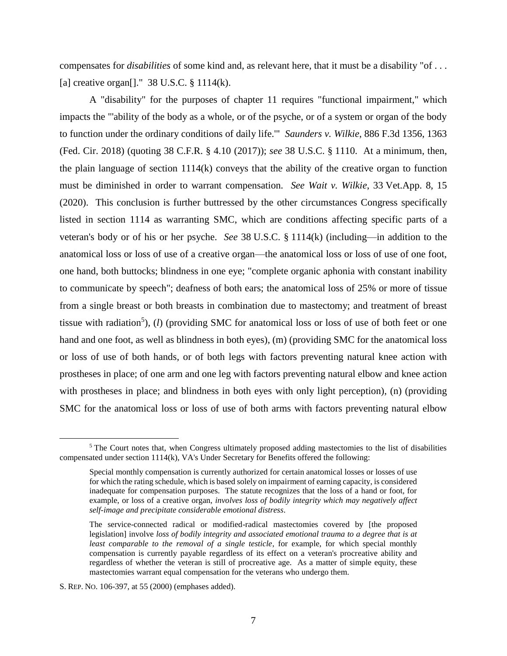compensates for *disabilities* of some kind and, as relevant here, that it must be a disability "of . . . [a] creative organ<sup>[]."</sup> 38 U.S.C.  $\S$  1114(k).

A "disability" for the purposes of chapter 11 requires "functional impairment," which impacts the "'ability of the body as a whole, or of the psyche, or of a system or organ of the body to function under the ordinary conditions of daily life.'" *Saunders v. Wilkie*, 886 F.3d 1356, 1363 (Fed. Cir. 2018) (quoting 38 C.F.R. § 4.10 (2017)); *see* 38 U.S.C. § 1110. At a minimum, then, the plain language of section 1114(k) conveys that the ability of the creative organ to function must be diminished in order to warrant compensation. *See Wait v. Wilkie*, 33 Vet.App. 8, 15 (2020). This conclusion is further buttressed by the other circumstances Congress specifically listed in section 1114 as warranting SMC, which are conditions affecting specific parts of a veteran's body or of his or her psyche. *See* 38 U.S.C. § 1114(k) (including—in addition to the anatomical loss or loss of use of a creative organ—the anatomical loss or loss of use of one foot, one hand, both buttocks; blindness in one eye; "complete organic aphonia with constant inability to communicate by speech"; deafness of both ears; the anatomical loss of 25% or more of tissue from a single breast or both breasts in combination due to mastectomy; and treatment of breast tissue with radiation<sup>5</sup>), (*l*) (providing SMC for anatomical loss or loss of use of both feet or one hand and one foot, as well as blindness in both eyes), (m) (providing SMC for the anatomical loss or loss of use of both hands, or of both legs with factors preventing natural knee action with prostheses in place; of one arm and one leg with factors preventing natural elbow and knee action with prostheses in place; and blindness in both eyes with only light perception), (n) (providing SMC for the anatomical loss or loss of use of both arms with factors preventing natural elbow

 $<sup>5</sup>$  The Court notes that, when Congress ultimately proposed adding mastectomies to the list of disabilities</sup> compensated under section 1114(k), VA's Under Secretary for Benefits offered the following:

Special monthly compensation is currently authorized for certain anatomical losses or losses of use for which the rating schedule, which is based solely on impairment of earning capacity, is considered inadequate for compensation purposes. The statute recognizes that the loss of a hand or foot, for example, or loss of a creative organ, *involves loss of bodily integrity which may negatively affect self-image and precipitate considerable emotional distress*.

The service-connected radical or modified-radical mastectomies covered by [the proposed legislation] involve *loss of bodily integrity and associated emotional trauma to a degree that is at least comparable to the removal of a single testicle*, for example, for which special monthly compensation is currently payable regardless of its effect on a veteran's procreative ability and regardless of whether the veteran is still of procreative age. As a matter of simple equity, these mastectomies warrant equal compensation for the veterans who undergo them.

S. REP. NO. 106-397, at 55 (2000) (emphases added).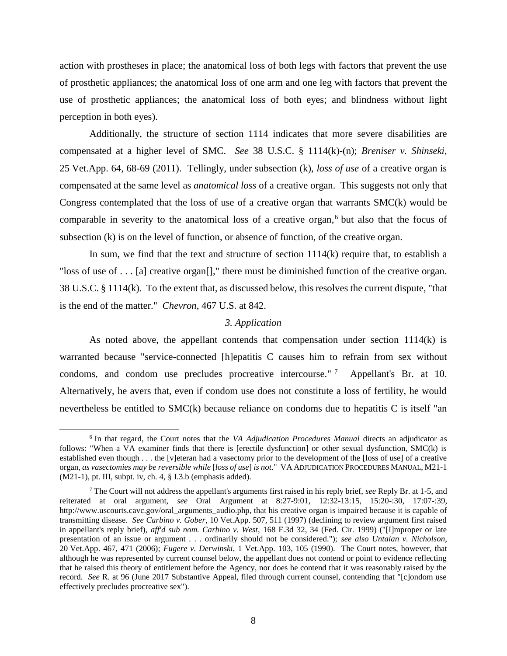action with prostheses in place; the anatomical loss of both legs with factors that prevent the use of prosthetic appliances; the anatomical loss of one arm and one leg with factors that prevent the use of prosthetic appliances; the anatomical loss of both eyes; and blindness without light perception in both eyes).

Additionally, the structure of section 1114 indicates that more severe disabilities are compensated at a higher level of SMC. *See* 38 U.S.C. § 1114(k)-(n); *Breniser v. Shinseki*, 25 Vet.App. 64, 68-69 (2011). Tellingly, under subsection (k), *loss of use* of a creative organ is compensated at the same level as *anatomical loss* of a creative organ. This suggests not only that Congress contemplated that the loss of use of a creative organ that warrants SMC(k) would be comparable in severity to the anatomical loss of a creative organ,<sup>6</sup> but also that the focus of subsection (k) is on the level of function, or absence of function, of the creative organ.

In sum, we find that the text and structure of section 1114(k) require that, to establish a "loss of use of . . . [a] creative organ[]," there must be diminished function of the creative organ. 38 U.S.C. § 1114(k). To the extent that, as discussed below, this resolves the current dispute, "that is the end of the matter." *Chevron*, 467 U.S. at 842.

## *3. Application*

As noted above, the appellant contends that compensation under section 1114(k) is warranted because "service-connected [h]epatitis C causes him to refrain from sex without condoms, and condom use precludes procreative intercourse."<sup>7</sup> Appellant's Br. at 10. Alternatively, he avers that, even if condom use does not constitute a loss of fertility, he would nevertheless be entitled to  $SMC(k)$  because reliance on condoms due to hepatitis C is itself "an

<sup>6</sup> In that regard, the Court notes that the *VA Adjudication Procedures Manual* directs an adjudicator as follows: "When a VA examiner finds that there is [erectile dysfunction] or other sexual dysfunction, SMC(k) is established even though . . . the [v]eteran had a vasectomy prior to the development of the [loss of use] of a creative organ, *as vasectomies may be reversible while* [*loss of use*] *is not*." VA ADJUDICATION PROCEDURES MANUAL, M21-1 (M21-1), pt. III, subpt. iv, ch. 4, § I.3.b (emphasis added).

<sup>7</sup> The Court will not address the appellant's arguments first raised in his reply brief, *see* Reply Br. at 1-5, and reiterated at oral argument, *see* Oral Argument at 8:27-9:01, 12:32-13:15, 15:20-:30, 17:07-:39, http://www.uscourts.cavc.gov/oral\_arguments\_audio.php, that his creative organ is impaired because it is capable of transmitting disease. *See Carbino v. Gober*, 10 Vet.App. 507, 511 (1997) (declining to review argument first raised in appellant's reply brief), *aff'd sub nom. Carbino v. West*, 168 F.3d 32, 34 (Fed. Cir. 1999) ("[I]mproper or late presentation of an issue or argument . . . ordinarily should not be considered."); *see also Untalan v. Nicholson*, 20 Vet.App. 467, 471 (2006); *Fugere v. Derwinski*, 1 Vet.App. 103, 105 (1990). The Court notes, however, that although he was represented by current counsel below, the appellant does not contend or point to evidence reflecting that he raised this theory of entitlement before the Agency, nor does he contend that it was reasonably raised by the record. *See* R. at 96 (June 2017 Substantive Appeal, filed through current counsel, contending that "[c]ondom use effectively precludes procreative sex").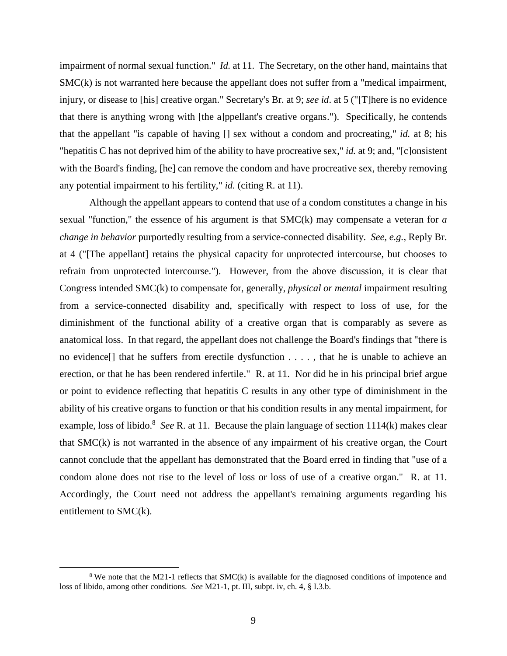impairment of normal sexual function." *Id.* at 11. The Secretary, on the other hand, maintains that SMC(k) is not warranted here because the appellant does not suffer from a "medical impairment, injury, or disease to [his] creative organ." Secretary's Br. at 9; *see id*. at 5 ("[T]here is no evidence that there is anything wrong with [the a]ppellant's creative organs."). Specifically, he contends that the appellant "is capable of having [] sex without a condom and procreating," *id.* at 8; his "hepatitis C has not deprived him of the ability to have procreative sex," *id.* at 9; and, "[c]onsistent with the Board's finding, [he] can remove the condom and have procreative sex, thereby removing any potential impairment to his fertility," *id.* (citing R. at 11).

Although the appellant appears to contend that use of a condom constitutes a change in his sexual "function," the essence of his argument is that SMC(k) may compensate a veteran for *a change in behavior* purportedly resulting from a service-connected disability. *See, e.g.*, Reply Br. at 4 ("[The appellant] retains the physical capacity for unprotected intercourse, but chooses to refrain from unprotected intercourse."). However, from the above discussion, it is clear that Congress intended SMC(k) to compensate for, generally, *physical or mental* impairment resulting from a service-connected disability and, specifically with respect to loss of use, for the diminishment of the functional ability of a creative organ that is comparably as severe as anatomical loss. In that regard, the appellant does not challenge the Board's findings that "there is no evidence[] that he suffers from erectile dysfunction . . . . , that he is unable to achieve an erection, or that he has been rendered infertile." R. at 11. Nor did he in his principal brief argue or point to evidence reflecting that hepatitis C results in any other type of diminishment in the ability of his creative organs to function or that his condition results in any mental impairment, for example, loss of libido.<sup>8</sup> See R. at 11. Because the plain language of section 1114(k) makes clear that SMC(k) is not warranted in the absence of any impairment of his creative organ, the Court cannot conclude that the appellant has demonstrated that the Board erred in finding that "use of a condom alone does not rise to the level of loss or loss of use of a creative organ." R. at 11. Accordingly, the Court need not address the appellant's remaining arguments regarding his entitlement to SMC(k).

<sup>&</sup>lt;sup>8</sup> We note that the M21-1 reflects that SMC(k) is available for the diagnosed conditions of impotence and loss of libido, among other conditions. *See* M21-1, pt. III, subpt. iv, ch. 4, § I.3.b.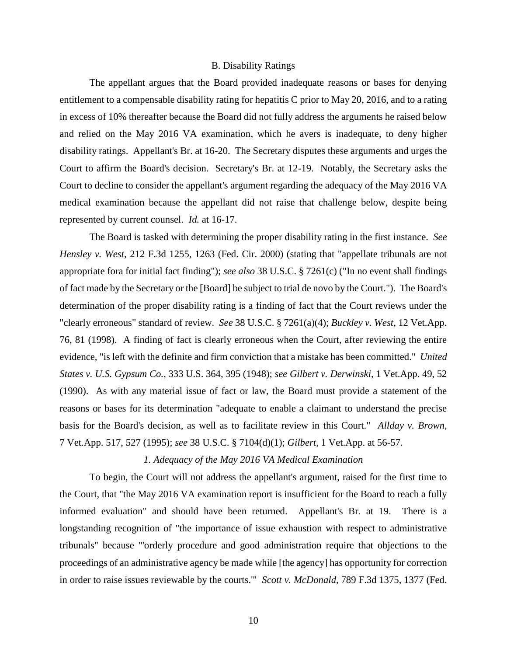#### B. Disability Ratings

The appellant argues that the Board provided inadequate reasons or bases for denying entitlement to a compensable disability rating for hepatitis C prior to May 20, 2016, and to a rating in excess of 10% thereafter because the Board did not fully address the arguments he raised below and relied on the May 2016 VA examination, which he avers is inadequate, to deny higher disability ratings. Appellant's Br. at 16-20. The Secretary disputes these arguments and urges the Court to affirm the Board's decision. Secretary's Br. at 12-19. Notably, the Secretary asks the Court to decline to consider the appellant's argument regarding the adequacy of the May 2016 VA medical examination because the appellant did not raise that challenge below, despite being represented by current counsel. *Id.* at 16-17.

The Board is tasked with determining the proper disability rating in the first instance. *See Hensley v. West*, 212 F.3d 1255, 1263 (Fed. Cir. 2000) (stating that "appellate tribunals are not appropriate fora for initial fact finding"); *see also* 38 U.S.C. § 7261(c) ("In no event shall findings of fact made by the Secretary or the [Board] be subject to trial de novo by the Court."). The Board's determination of the proper disability rating is a finding of fact that the Court reviews under the "clearly erroneous" standard of review. *See* 38 U.S.C. § 7261(a)(4); *Buckley v. West*, 12 Vet.App. 76, 81 (1998). A finding of fact is clearly erroneous when the Court, after reviewing the entire evidence, "is left with the definite and firm conviction that a mistake has been committed." *United States v. U.S. Gypsum Co.*, 333 U.S. 364, 395 (1948); *see Gilbert v. Derwinski*, 1 Vet.App. 49, 52 (1990). As with any material issue of fact or law, the Board must provide a statement of the reasons or bases for its determination "adequate to enable a claimant to understand the precise basis for the Board's decision, as well as to facilitate review in this Court." *Allday v. Brown*, 7 Vet.App. 517, 527 (1995); *see* 38 U.S.C. § 7104(d)(1); *Gilbert*, 1 Vet.App. at 56-57.

# *1. Adequacy of the May 2016 VA Medical Examination*

To begin, the Court will not address the appellant's argument, raised for the first time to the Court, that "the May 2016 VA examination report is insufficient for the Board to reach a fully informed evaluation" and should have been returned. Appellant's Br. at 19. There is a longstanding recognition of "the importance of issue exhaustion with respect to administrative tribunals" because "'orderly procedure and good administration require that objections to the proceedings of an administrative agency be made while [the agency] has opportunity for correction in order to raise issues reviewable by the courts.'" *Scott v. McDonald*, 789 F.3d 1375, 1377 (Fed.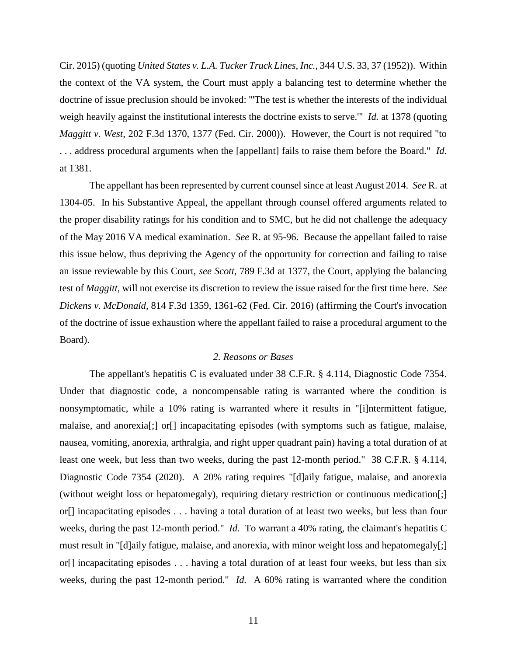Cir. 2015) (quoting *United States v. L.A. Tucker Truck Lines, Inc.*, 344 U.S. 33, 37 (1952)). Within the context of the VA system, the Court must apply a balancing test to determine whether the doctrine of issue preclusion should be invoked: "'The test is whether the interests of the individual weigh heavily against the institutional interests the doctrine exists to serve.'" *Id.* at 1378 (quoting *Maggitt v. West*, 202 F.3d 1370, 1377 (Fed. Cir. 2000)). However, the Court is not required "to . . . address procedural arguments when the [appellant] fails to raise them before the Board." *Id.* at 1381.

The appellant has been represented by current counsel since at least August 2014. *See* R. at 1304-05. In his Substantive Appeal, the appellant through counsel offered arguments related to the proper disability ratings for his condition and to SMC, but he did not challenge the adequacy of the May 2016 VA medical examination. *See* R. at 95-96. Because the appellant failed to raise this issue below, thus depriving the Agency of the opportunity for correction and failing to raise an issue reviewable by this Court, *see Scott*, 789 F.3d at 1377, the Court, applying the balancing test of *Maggitt*, will not exercise its discretion to review the issue raised for the first time here. *See Dickens v. McDonald*, 814 F.3d 1359, 1361-62 (Fed. Cir. 2016) (affirming the Court's invocation of the doctrine of issue exhaustion where the appellant failed to raise a procedural argument to the Board).

# *2. Reasons or Bases*

The appellant's hepatitis C is evaluated under 38 C.F.R. § 4.114, Diagnostic Code 7354. Under that diagnostic code, a noncompensable rating is warranted where the condition is nonsymptomatic, while a 10% rating is warranted where it results in "[i]ntermittent fatigue, malaise, and anorexia[;] or[] incapacitating episodes (with symptoms such as fatigue, malaise, nausea, vomiting, anorexia, arthralgia, and right upper quadrant pain) having a total duration of at least one week, but less than two weeks, during the past 12-month period." 38 C.F.R. § 4.114, Diagnostic Code 7354 (2020). A 20% rating requires "[d]aily fatigue, malaise, and anorexia (without weight loss or hepatomegaly), requiring dietary restriction or continuous medication[;] or[] incapacitating episodes . . . having a total duration of at least two weeks, but less than four weeks, during the past 12-month period." *Id.* To warrant a 40% rating, the claimant's hepatitis C must result in "[d]aily fatigue, malaise, and anorexia, with minor weight loss and hepatomegaly[;] or[] incapacitating episodes . . . having a total duration of at least four weeks, but less than six weeks, during the past 12-month period." *Id.* A 60% rating is warranted where the condition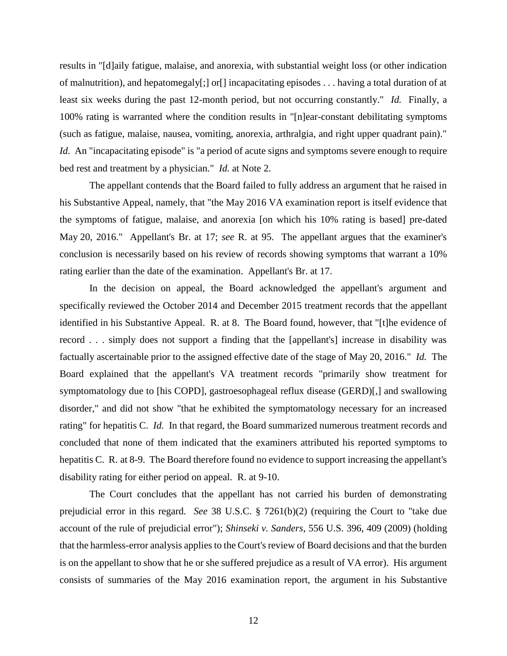results in "[d]aily fatigue, malaise, and anorexia, with substantial weight loss (or other indication of malnutrition), and hepatomegaly $[\cdot]$  or  $[\cdot]$  incapacitating episodes ... having a total duration of at least six weeks during the past 12-month period, but not occurring constantly." *Id.* Finally, a 100% rating is warranted where the condition results in "[n]ear-constant debilitating symptoms (such as fatigue, malaise, nausea, vomiting, anorexia, arthralgia, and right upper quadrant pain)." *Id.* An "incapacitating episode" is "a period of acute signs and symptoms severe enough to require bed rest and treatment by a physician." *Id.* at Note 2.

The appellant contends that the Board failed to fully address an argument that he raised in his Substantive Appeal, namely, that "the May 2016 VA examination report is itself evidence that the symptoms of fatigue, malaise, and anorexia [on which his 10% rating is based] pre-dated May 20, 2016." Appellant's Br. at 17; *see* R. at 95. The appellant argues that the examiner's conclusion is necessarily based on his review of records showing symptoms that warrant a 10% rating earlier than the date of the examination. Appellant's Br. at 17.

In the decision on appeal, the Board acknowledged the appellant's argument and specifically reviewed the October 2014 and December 2015 treatment records that the appellant identified in his Substantive Appeal. R. at 8. The Board found, however, that "[t]he evidence of record . . . simply does not support a finding that the [appellant's] increase in disability was factually ascertainable prior to the assigned effective date of the stage of May 20, 2016." *Id.* The Board explained that the appellant's VA treatment records "primarily show treatment for symptomatology due to [his COPD], gastroesophageal reflux disease (GERD)[,] and swallowing disorder," and did not show "that he exhibited the symptomatology necessary for an increased rating" for hepatitis C. *Id.* In that regard, the Board summarized numerous treatment records and concluded that none of them indicated that the examiners attributed his reported symptoms to hepatitis C. R. at 8-9. The Board therefore found no evidence to support increasing the appellant's disability rating for either period on appeal. R. at 9-10.

The Court concludes that the appellant has not carried his burden of demonstrating prejudicial error in this regard. *See* 38 U.S.C. § 7261(b)(2) (requiring the Court to "take due account of the rule of prejudicial error"); *Shinseki v. Sanders*, 556 U.S. 396, 409 (2009) (holding that the harmless-error analysis applies to the Court's review of Board decisions and that the burden is on the appellant to show that he or she suffered prejudice as a result of VA error). His argument consists of summaries of the May 2016 examination report, the argument in his Substantive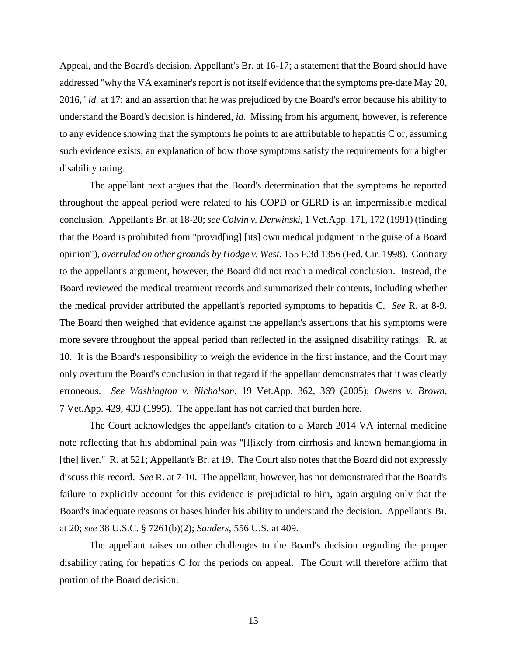Appeal, and the Board's decision, Appellant's Br. at 16-17; a statement that the Board should have addressed "why the VA examiner's report is not itself evidence that the symptoms pre-date May 20, 2016," *id.* at 17; and an assertion that he was prejudiced by the Board's error because his ability to understand the Board's decision is hindered, *id.* Missing from his argument, however, is reference to any evidence showing that the symptoms he points to are attributable to hepatitis C or, assuming such evidence exists, an explanation of how those symptoms satisfy the requirements for a higher disability rating.

The appellant next argues that the Board's determination that the symptoms he reported throughout the appeal period were related to his COPD or GERD is an impermissible medical conclusion. Appellant's Br. at 18-20; *see Colvin v. Derwinski*, 1 Vet.App. 171, 172 (1991) (finding that the Board is prohibited from "provid[ing] [its] own medical judgment in the guise of a Board opinion"), *overruled on other grounds by Hodge v. West*, 155 F.3d 1356 (Fed. Cir. 1998). Contrary to the appellant's argument, however, the Board did not reach a medical conclusion. Instead, the Board reviewed the medical treatment records and summarized their contents, including whether the medical provider attributed the appellant's reported symptoms to hepatitis C. *See* R. at 8-9. The Board then weighed that evidence against the appellant's assertions that his symptoms were more severe throughout the appeal period than reflected in the assigned disability ratings. R. at 10. It is the Board's responsibility to weigh the evidence in the first instance, and the Court may only overturn the Board's conclusion in that regard if the appellant demonstrates that it was clearly erroneous. *See Washington v. Nicholson*, 19 Vet.App. 362, 369 (2005); *Owens v. Brown*, 7 Vet.App. 429, 433 (1995). The appellant has not carried that burden here.

The Court acknowledges the appellant's citation to a March 2014 VA internal medicine note reflecting that his abdominal pain was "[l]ikely from cirrhosis and known hemangioma in [the] liver." R. at 521; Appellant's Br. at 19. The Court also notes that the Board did not expressly discuss this record. *See* R. at 7-10. The appellant, however, has not demonstrated that the Board's failure to explicitly account for this evidence is prejudicial to him, again arguing only that the Board's inadequate reasons or bases hinder his ability to understand the decision. Appellant's Br. at 20; *see* 38 U.S.C. § 7261(b)(2); *Sanders*, 556 U.S. at 409.

The appellant raises no other challenges to the Board's decision regarding the proper disability rating for hepatitis C for the periods on appeal. The Court will therefore affirm that portion of the Board decision.